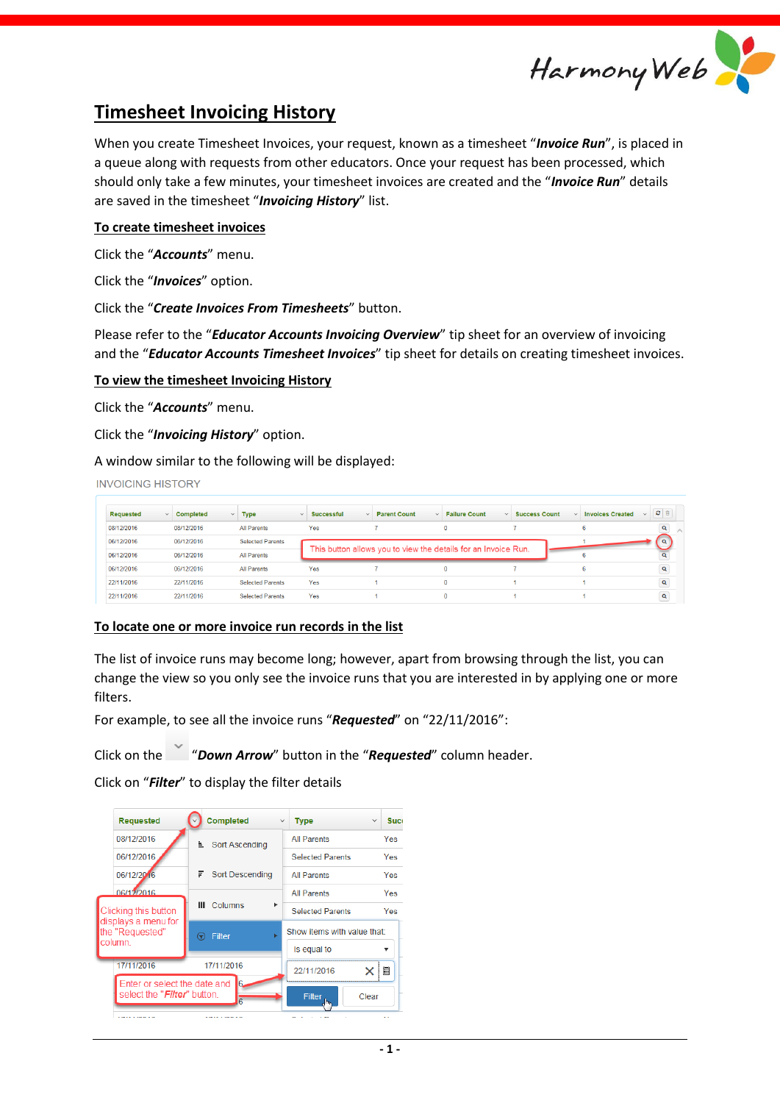

# **Timesheet Invoicing History**

When you create Timesheet Invoices, your request, known as a timesheet "*Invoice Run*", is placed in a queue along with requests from other educators. Once your request has been processed, which should only take a few minutes, your timesheet invoices are created and the "*Invoice Run*" details are saved in the timesheet "*Invoicing History*" list.

## **To create timesheet invoices**

Click the "*Accounts*" menu.

Click the "*Invoices*" option.

Click the "*Create Invoices From Timesheets*" button.

Please refer to the "*Educator Accounts Invoicing Overview*" tip sheet for an overview of invoicing and the "*Educator Accounts Timesheet Invoices*" tip sheet for details on creating timesheet invoices.

#### **To view the timesheet Invoicing History**

Click the "*Accounts*" menu.

Click the "*Invoicing History*" option.

A window similar to the following will be displayed:

**INVOICING HISTORY** 

| Requested<br>$\checkmark$ | Completed  | $~\vee$ Type            | <b>Successful</b><br>$\checkmark$ | <b>Parent Count</b><br>$\checkmark$ | <b>Failure Count</b><br>$\checkmark$                           | <b>Success Count</b> | <b>Invoices Created</b> | $z$ a        |
|---------------------------|------------|-------------------------|-----------------------------------|-------------------------------------|----------------------------------------------------------------|----------------------|-------------------------|--------------|
| 08/12/2016                | 08/12/2016 | <b>All Parents</b>      | Yes                               |                                     | 0                                                              |                      | 6.                      | Q            |
| 06/12/2016                | 06/12/2016 | <b>Selected Parents</b> |                                   |                                     |                                                                |                      |                         | $\alpha$     |
| 06/12/2016                | 06/12/2016 | <b>All Parents</b>      |                                   |                                     | This button allows you to view the details for an Invoice Run. |                      |                         |              |
| 06/12/2016                | 06/12/2016 | <b>All Parents</b>      | Yes                               |                                     | $\Omega$                                                       |                      | 6.                      | $\mathbf{Q}$ |
| 22/11/2016                | 22/11/2016 | <b>Selected Parents</b> | Yes                               |                                     | 0                                                              |                      |                         | $\mathbf{Q}$ |
| 22/11/2016                | 22/11/2016 | <b>Selected Parents</b> | Yes                               |                                     | o                                                              |                      |                         | Q            |

#### **To locate one or more invoice run records in the list**

The list of invoice runs may become long; however, apart from browsing through the list, you can change the view so you only see the invoice runs that you are interested in by applying one or more filters.

For example, to see all the invoice runs "*Requested*" on "22/11/2016":

Click on the "*Down Arrow*" button in the "*Requested*" column header.

Click on "*Filter*" to display the filter details

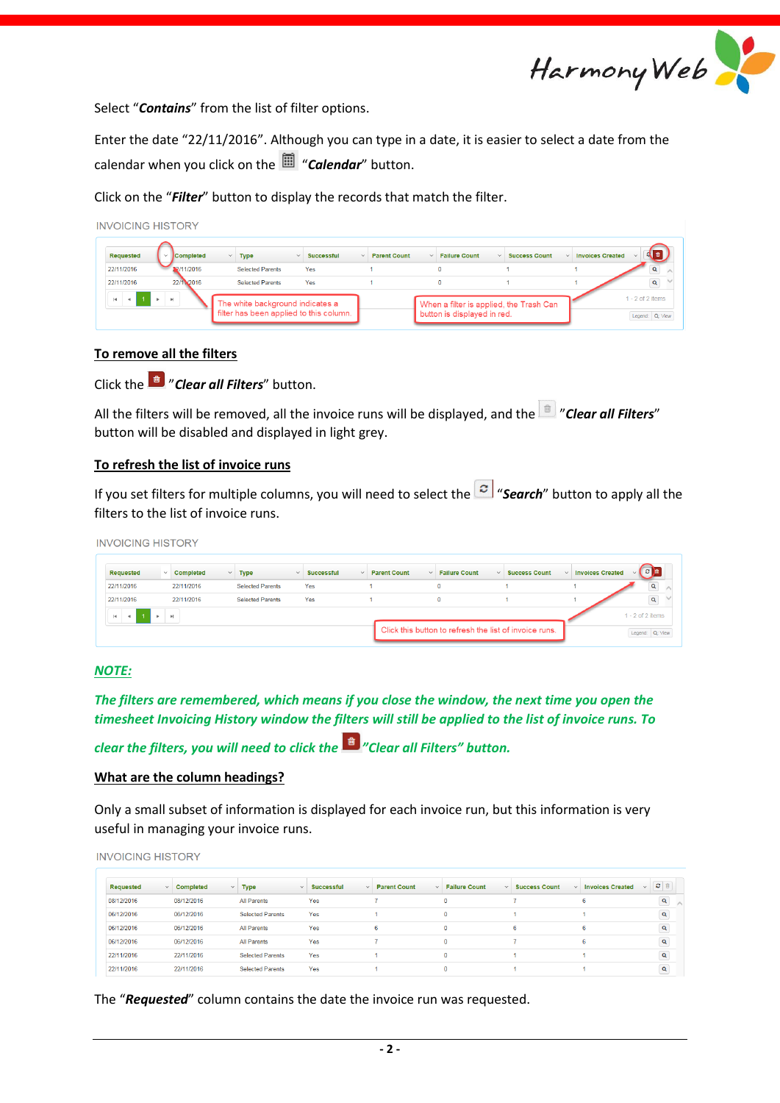

Select "*Contains*" from the list of filter options.

Enter the date "22/11/2016". Although you can type in a date, it is easier to select a date from the calendar when you click on the "*Calendar*" button.

Click on the "*Filter*" button to display the records that match the filter.

| <b>Completed</b> | $~\vee$ Type               |                                   |                                     |                      |                                |                         |                    |
|------------------|----------------------------|-----------------------------------|-------------------------------------|----------------------|--------------------------------|-------------------------|--------------------|
|                  |                            | <b>Successful</b><br>$\checkmark$ | <b>Parent Count</b><br>$\checkmark$ | <b>Failure Count</b> | <b>Success Count</b><br>$\sim$ | $\vee$ Invoices Created |                    |
| 2/11/2016        | <b>Selected Parents</b>    | Yes                               |                                     | 0                    |                                |                         |                    |
| 22/11/2016       | <b>Selected Parents</b>    | Yes                               |                                     | n                    |                                |                         | $\mathbf{Q}$       |
|                  | $\mathbb{R}^+$ .<br><br>El |                                   | The white background indicates a    |                      |                                |                         | $1 - 2$ of 2 items |

# **To remove all the filters**

Click the "*Clear all Filters*" button.

All the filters will be removed, all the invoice runs will be displayed, and the "*Clear all Filters*" button will be disabled and displayed in light grey.

#### **To refresh the list of invoice runs**

If you set filters for multiple columns, you will need to select the  $\boxed{\circ}$  "**Search**" button to apply all the filters to the list of invoice runs.

**INVOICING HISTORY** 

| Requested  | $\checkmark$ .                            | Completed<br>$\sim$ | <b>Type</b>             | <b>Successful</b><br>$\vee$ | $\checkmark$ | <b>Parent Count</b><br>$\checkmark$ | <b>Failure Count</b><br>$\sim$                         | <b>Success Count</b> | <b>Invoices Created</b><br>$\sim$ | <b>B</b><br>$\sim$ 1 |
|------------|-------------------------------------------|---------------------|-------------------------|-----------------------------|--------------|-------------------------------------|--------------------------------------------------------|----------------------|-----------------------------------|----------------------|
| 22/11/2016 |                                           | 22/11/2016          | <b>Selected Parents</b> | Yes                         |              |                                     |                                                        |                      |                                   | $\mathbf{Q}$         |
| 22/11/2016 |                                           | 22/11/2016          | <b>Selected Parents</b> | Yes                         |              |                                     |                                                        |                      |                                   | $\mathbf{Q}$         |
| H.         | $\triangleright$ $\cdot$ $\triangleright$ |                     |                         |                             |              |                                     |                                                        |                      |                                   | $1 - 2$ of 2 items   |
|            |                                           |                     |                         |                             |              |                                     | Click this button to refresh the list of invoice runs. |                      |                                   | Legend: Q: View      |

#### *NOTE:*

*The filters are remembered, which means if you close the window, the next time you open the timesheet Invoicing History window the filters will still be applied to the list of invoice runs. To* 

*clear the filters, you will need to click the "Clear all Filters" button.*

#### **What are the column headings?**

Only a small subset of information is displayed for each invoice run, but this information is very useful in managing your invoice runs.

**INVOICING HISTORY** 

| Requested  | $\vee$ Completed<br>$\checkmark$ | <b>Type</b><br>$\checkmark$ | <b>Successful</b><br>$\checkmark$ | <b>Parent Count</b><br>$\checkmark$ | <b>Failure Count</b><br>$\checkmark$ | <b>Success Count</b> | <b>Invoices Created</b> | c e          |
|------------|----------------------------------|-----------------------------|-----------------------------------|-------------------------------------|--------------------------------------|----------------------|-------------------------|--------------|
| 08/12/2016 | 08/12/2016                       | <b>All Parents</b>          | Yes                               |                                     | 0                                    |                      |                         | $\mathbf{Q}$ |
| 06/12/2016 | 06/12/2016                       | <b>Selected Parents</b>     | Yes                               |                                     | $\bf{0}$                             |                      |                         | $\mathbf{Q}$ |
| 06/12/2016 | 06/12/2016                       | <b>All Parents</b>          | Yes                               | 6                                   | $\bf{0}$                             | 6                    | 6                       | $\mathbf{Q}$ |
| 06/12/2016 | 06/12/2016                       | <b>All Parents</b>          | Yes                               |                                     | $\mathbf{0}$                         |                      | 6                       | $\mathbf{Q}$ |
| 22/11/2016 | 22/11/2016                       | <b>Selected Parents</b>     | Yes                               |                                     | $\mathbf{0}$                         |                      |                         | $\mathbf{Q}$ |
| 22/11/2016 | 22/11/2016                       | <b>Selected Parents</b>     | Yes                               |                                     | 0                                    |                      |                         | $\alpha$     |

The "*Requested*" column contains the date the invoice run was requested.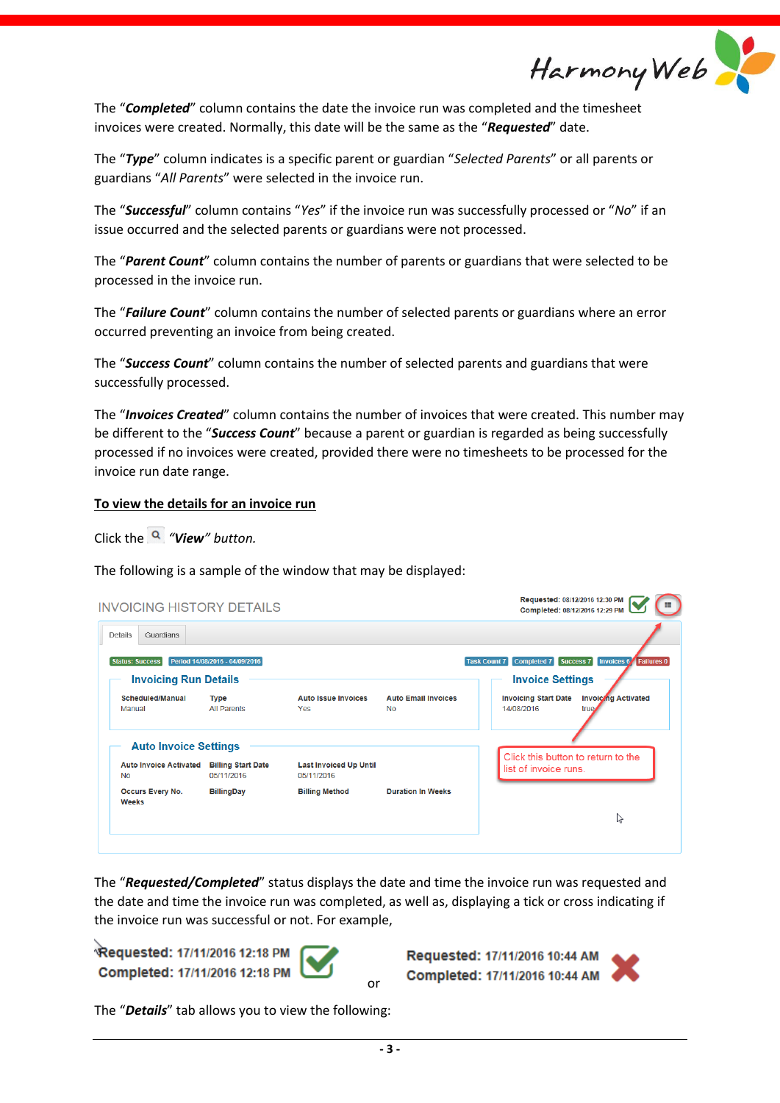Harmony Web

The "*Completed*" column contains the date the invoice run was completed and the timesheet invoices were created. Normally, this date will be the same as the "*Requested*" date.

The "*Type*" column indicates is a specific parent or guardian "*Selected Parents*" or all parents or guardians "*All Parents*" were selected in the invoice run.

The "*Successful*" column contains "*Yes*" if the invoice run was successfully processed or "*No*" if an issue occurred and the selected parents or guardians were not processed.

The "*Parent Count*" column contains the number of parents or guardians that were selected to be processed in the invoice run.

The "*Failure Count*" column contains the number of selected parents or guardians where an error occurred preventing an invoice from being created.

The "*Success Count*" column contains the number of selected parents and guardians that were successfully processed.

The "*Invoices Created*" column contains the number of invoices that were created. This number may be different to the "*Success Count*" because a parent or guardian is regarded as being successfully processed if no invoices were created, provided there were no timesheets to be processed for the invoice run date range.

## **To view the details for an invoice run**

Click the *"View" button.*

The following is a sample of the window that may be displayed:

| <b>INVOICING HISTORY DETAILS</b>           |                                         |                                             |                                         | Requested: 08/12/2016 12:30 PM<br>Completed: 08/12/2016 12:29 PM                    |
|--------------------------------------------|-----------------------------------------|---------------------------------------------|-----------------------------------------|-------------------------------------------------------------------------------------|
| Guardians<br>Details                       |                                         |                                             |                                         |                                                                                     |
| <b>Status: Success</b>                     | Period 14/08/2016 - 04/09/2016          |                                             |                                         | Completed 7<br>Invoices 6 Failures 0<br>Success <sub>7</sub><br><b>Task Count 7</b> |
| <b>Invoicing Run Details</b>               |                                         |                                             |                                         | <b>Invoice Settings</b>                                                             |
| Scheduled/Manual<br>Manual                 | <b>Type</b><br><b>All Parents</b>       | <b>Auto Issue Invoices</b><br>Yes           | <b>Auto Email Invoices</b><br><b>No</b> | <b>Invoicing Start Date</b><br><b>Invoicing Activated</b><br>14/08/2016<br>true.    |
| <b>Auto Invoice Settings</b>               |                                         |                                             |                                         |                                                                                     |
| <b>Auto Invoice Activated</b><br><b>No</b> | <b>Billing Start Date</b><br>05/11/2016 | <b>Last Invoiced Up Until</b><br>05/11/2016 |                                         | Click this button to return to the<br>list of invoice runs.                         |
| Occurs Every No.<br><b>Weeks</b>           | <b>BillingDay</b>                       | <b>Billing Method</b>                       | <b>Duration In Weeks</b>                |                                                                                     |
|                                            |                                         |                                             |                                         | ペ                                                                                   |
|                                            |                                         |                                             |                                         |                                                                                     |

The "*Requested/Completed*" status displays the date and time the invoice run was requested and the date and time the invoice run was completed, as well as, displaying a tick or cross indicating if the invoice run was successful or not. For example,

or

Requested: 17/11/2016 12:18 PM Completed: 17/11/2016 12:18 PM

Requested: 17/11/2016 10:44 AM Completed: 17/11/2016 10:44 AM (



The "*Details*" tab allows you to view the following: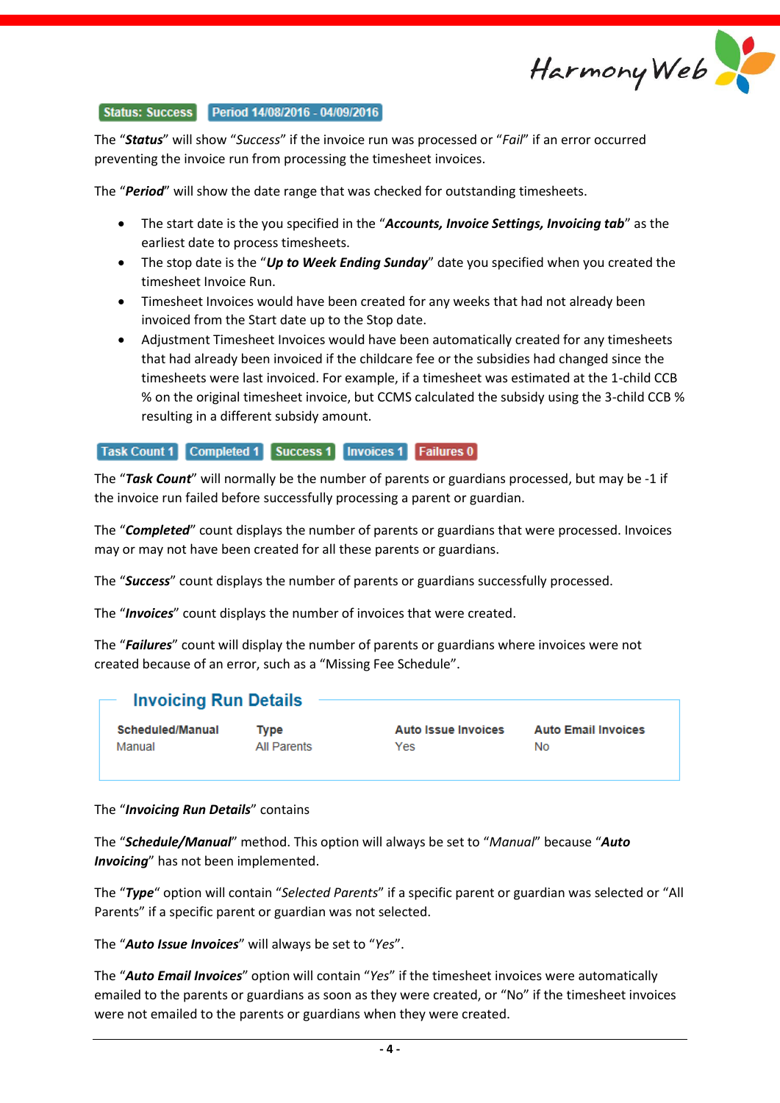

#### Status: Success Period 14/08/2016 - 04/09/2016

The "*Status*" will show "*Success*" if the invoice run was processed or "*Fail*" if an error occurred preventing the invoice run from processing the timesheet invoices.

The "*Period*" will show the date range that was checked for outstanding timesheets.

- The start date is the you specified in the "*Accounts, Invoice Settings, Invoicing tab*" as the earliest date to process timesheets.
- The stop date is the "*Up to Week Ending Sunday*" date you specified when you created the timesheet Invoice Run.
- Timesheet Invoices would have been created for any weeks that had not already been invoiced from the Start date up to the Stop date.
- Adjustment Timesheet Invoices would have been automatically created for any timesheets that had already been invoiced if the childcare fee or the subsidies had changed since the timesheets were last invoiced. For example, if a timesheet was estimated at the 1-child CCB % on the original timesheet invoice, but CCMS calculated the subsidy using the 3-child CCB % resulting in a different subsidy amount.

# Task Count 1 Completed 1 Success 1 Invoices 1 Failures 0

The "*Task Count*" will normally be the number of parents or guardians processed, but may be -1 if the invoice run failed before successfully processing a parent or guardian.

The "*Completed*" count displays the number of parents or guardians that were processed. Invoices may or may not have been created for all these parents or guardians.

The "*Success*" count displays the number of parents or guardians successfully processed.

The "*Invoices*" count displays the number of invoices that were created.

The "*Failures*" count will display the number of parents or guardians where invoices were not created because of an error, such as a "Missing Fee Schedule".

# **Invoicing Run Details**

Scheduled/Manual Manual

**Type All Parents**  **Auto Issue Invoices** Yes

**Auto Email Invoices No** 

#### The "*Invoicing Run Details*" contains

The "*Schedule/Manual*" method. This option will always be set to "*Manual*" because "*Auto Invoicing*" has not been implemented.

The "*Type*" option will contain "*Selected Parents*" if a specific parent or guardian was selected or "All Parents" if a specific parent or guardian was not selected.

The "*Auto Issue Invoices*" will always be set to "*Yes*".

The "*Auto Email Invoices*" option will contain "*Yes*" if the timesheet invoices were automatically emailed to the parents or guardians as soon as they were created, or "No" if the timesheet invoices were not emailed to the parents or guardians when they were created.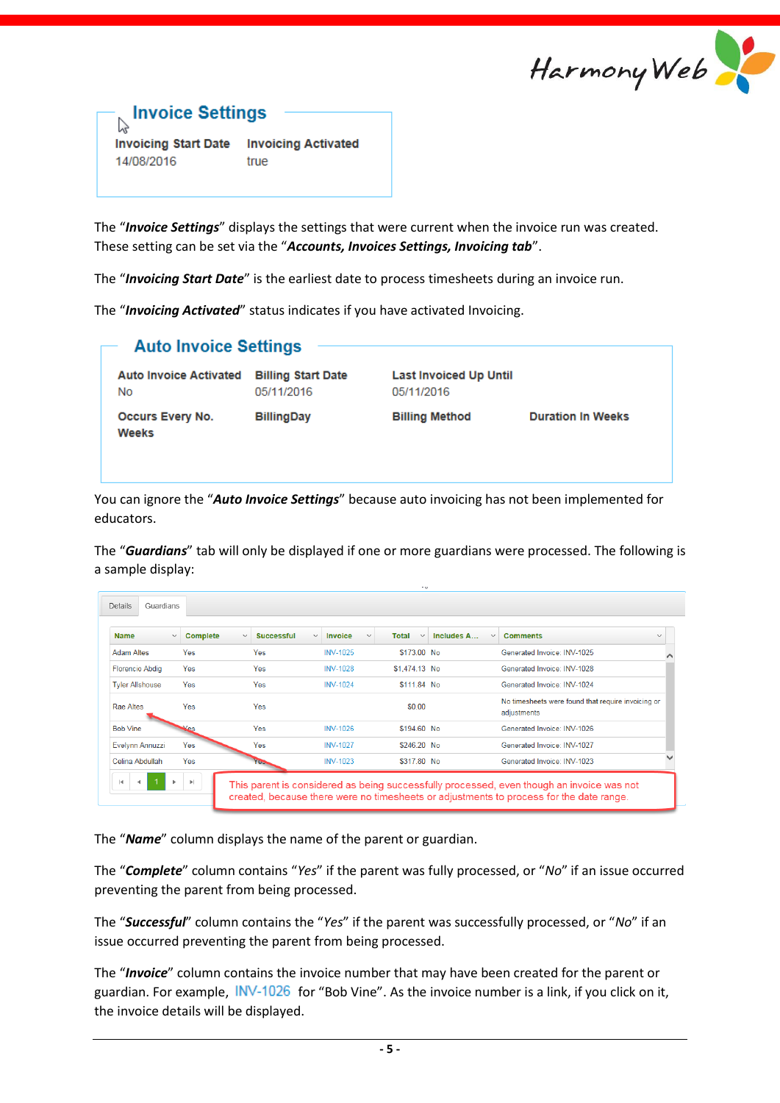



**Invoicing Activated Invoicing Start Date** 14/08/2016 true

The "*Invoice Settings*" displays the settings that were current when the invoice run was created. These setting can be set via the "*Accounts, Invoices Settings, Invoicing tab*".

The "*Invoicing Start Date*" is the earliest date to process timesheets during an invoice run.

The "*Invoicing Activated*" status indicates if you have activated Invoicing.

|                                         | <b>Auto Invoice Settings</b>            |                                             |                          |  |  |  |  |  |
|-----------------------------------------|-----------------------------------------|---------------------------------------------|--------------------------|--|--|--|--|--|
| <b>Auto Invoice Activated</b><br>No     | <b>Billing Start Date</b><br>05/11/2016 | <b>Last Invoiced Up Until</b><br>05/11/2016 |                          |  |  |  |  |  |
| <b>Occurs Every No.</b><br><b>Weeks</b> | <b>BillingDay</b>                       | <b>Billing Method</b>                       | <b>Duration In Weeks</b> |  |  |  |  |  |

You can ignore the "*Auto Invoice Settings*" because auto invoicing has not been implemented for educators.

The "*Guardians*" tab will only be displayed if one or more guardians were processed. The following is a sample display:

| <b>Name</b>            | <b>Complete</b><br>$\checkmark$ | <b>Successful</b><br>$\checkmark$ | <b>Invoice</b><br>$\checkmark$<br>$\checkmark$ | <b>Total</b><br>$\checkmark$ | Includes A<br>$\checkmark$ | <b>Comments</b><br>$\checkmark$                                   |
|------------------------|---------------------------------|-----------------------------------|------------------------------------------------|------------------------------|----------------------------|-------------------------------------------------------------------|
| <b>Adam Altes</b>      | Yes                             | Yes                               | <b>INV-1025</b>                                | \$173.00 No.                 |                            | Generated Invoice: INV-1025                                       |
| <b>Florencio Abdig</b> | Yes                             | Yes                               | <b>INV-1028</b>                                | \$1,474.13 No                |                            | Generated Invoice: INV-1028                                       |
| <b>Tyler Allshouse</b> | Yes                             | Yes                               | <b>INV-1024</b>                                | \$111.84 No                  |                            | Generated Invoice: INV-1024                                       |
| Rae Altes              | Yes                             | Yes                               |                                                | \$0.00                       |                            | No timesheets were found that require invoicing or<br>adjustments |
| <b>Bob Vine</b>        | $\mathbf{x}_{\text{es}}$        | Yes                               | <b>INV-1026</b>                                | \$194.60 No                  |                            | Generated Invoice: INV-1026                                       |
| Evelynn Annuzzi        | Yes                             | Yes                               | <b>INV-1027</b>                                | \$246.20 No                  |                            | Generated Invoice: INV-1027                                       |
| Celina Abdullah        | Yes                             | YeJ.                              | <b>INV-1023</b>                                | \$317.80 No                  |                            | Generated Invoice: INV-1023                                       |

The "*Name*" column displays the name of the parent or guardian.

The "*Complete*" column contains "*Yes*" if the parent was fully processed, or "*No*" if an issue occurred preventing the parent from being processed.

The "*Successful*" column contains the "*Yes*" if the parent was successfully processed, or "*No*" if an issue occurred preventing the parent from being processed.

The "*Invoice*" column contains the invoice number that may have been created for the parent or guardian. For example, INV-1026 for "Bob Vine". As the invoice number is a link, if you click on it, the invoice details will be displayed.